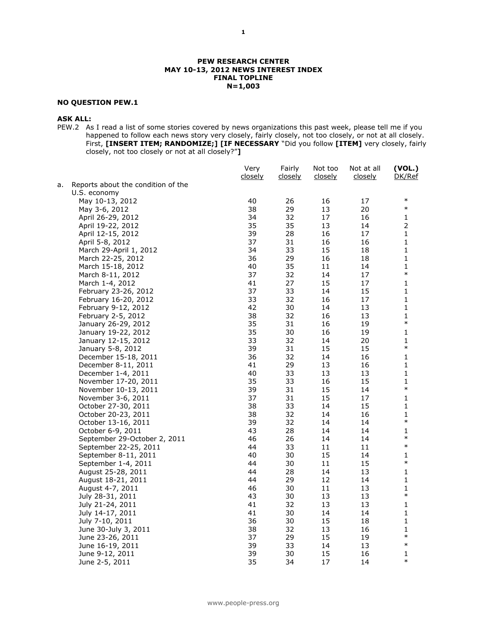#### **PEW RESEARCH CENTER MAY 10-13, 2012 NEWS INTEREST INDEX FINAL TOPLINE N=1,003**

## **NO QUESTION PEW.1**

## **ASK ALL:**

PEW.2 As I read a list of some stories covered by news organizations this past week, please tell me if you happened to follow each news story very closely, fairly closely, not too closely, or not at all closely. First, **[INSERT ITEM; RANDOMIZE;] [IF NECESSARY** "Did you follow **[ITEM]** very closely, fairly closely, not too closely or not at all closely?"**]**

|    |                                                   | Very<br>closely | Fairly<br>closely | Not too<br><u>closely</u> | Not at all<br><u>closely</u> | (VOL.)<br><u>DK/Ref</u> |
|----|---------------------------------------------------|-----------------|-------------------|---------------------------|------------------------------|-------------------------|
| а. | Reports about the condition of the                |                 |                   |                           |                              |                         |
|    | U.S. economy                                      |                 |                   |                           |                              |                         |
|    | May 10-13, 2012                                   | 40              | 26                | 16                        | 17                           | $\ast$                  |
|    | May 3-6, 2012                                     | 38              | 29                | 13                        | 20                           | $\ast$                  |
|    | April 26-29, 2012                                 | 34              | 32                | 17                        | 16                           | $\mathbf{1}$            |
|    | April 19-22, 2012                                 | 35              | 35                | 13                        | 14                           | $\overline{2}$          |
|    | April 12-15, 2012                                 | 39              | 28                | 16                        | 17                           | $\mathbf 1$             |
|    | April 5-8, 2012                                   | 37              | 31                | 16                        | 16                           | 1                       |
|    | March 29-April 1, 2012                            | 34              | 33                | 15                        | 18                           | $\mathbf 1$             |
|    | March 22-25, 2012                                 | 36              | 29                | 16                        | 18                           | $\mathbf 1$             |
|    | March 15-18, 2012                                 | 40              | 35                | 11                        | 14                           | 1                       |
|    |                                                   | 37              | 32                | 14                        | 17                           | $\ast$                  |
|    | March 8-11, 2012<br>March 1-4, 2012               | 41              | 27                | 15                        | 17                           | 1                       |
|    | February 23-26, 2012                              | 37              | 33                | 14                        | 15                           | 1                       |
|    |                                                   | 33              | 32                | 16                        | 17                           | $\mathbf 1$             |
|    | February 16-20, 2012                              | 42              |                   |                           |                              | $\mathbf 1$             |
|    | February 9-12, 2012                               | 38              | 30                | 14                        | 13                           | $\mathbf 1$             |
|    | February 2-5, 2012                                |                 | 32                | 16                        | 13                           | $\ast$                  |
|    | January 26-29, 2012                               | 35<br>35        | 31                | 16                        | 19                           | 1                       |
|    | January 19-22, 2012                               |                 | 30                | 16                        | 19                           | $\mathbf{1}$            |
|    | January 12-15, 2012                               | 33              | 32                | 14                        | 20                           | $\ast$                  |
|    | January 5-8, 2012                                 | 39<br>36        | 31<br>32          | 15                        | 15                           |                         |
|    | December 15-18, 2011                              |                 |                   | 14                        | 16                           | $\mathbf 1$             |
|    | December 8-11, 2011                               | 41              | 29<br>33          | 13<br>13                  | 16                           | 1<br>$\mathbf 1$        |
|    | December 1-4, 2011                                | 40<br>35        | 33                |                           | 13<br>15                     |                         |
|    | November 17-20, 2011                              | 39              | 31                | 16<br>15                  | 14                           | 1<br>$\ast$             |
|    | November 10-13, 2011                              |                 |                   |                           |                              |                         |
|    | November 3-6, 2011                                | 37<br>38        | 31<br>33          | 15<br>14                  | 17<br>15                     | 1<br>$\mathbf{1}$       |
|    | October 27-30, 2011                               |                 |                   |                           |                              | $\mathbf{1}$            |
|    | October 20-23, 2011                               | 38<br>39        | 32<br>32          | 14<br>14                  | 16<br>14                     | $\ast$                  |
|    | October 13-16, 2011                               |                 |                   |                           |                              |                         |
|    | October 6-9, 2011<br>September 29-October 2, 2011 | 43              | 28                | 14                        | 14<br>14                     | 1<br>$\ast$             |
|    |                                                   | 46<br>44        | 26<br>33          | 14<br>11                  | 11                           | $\ast$                  |
|    | September 22-25, 2011                             | 40              | 30                | 15                        | 14                           | 1                       |
|    | September 8-11, 2011                              | 44              | 30                | 11                        | 15                           | $\ast$                  |
|    | September 1-4, 2011                               | 44              | 28                | 14                        | 13                           | 1                       |
|    | August 25-28, 2011                                | 44              | 29                | 12                        | 14                           | $\mathbf{1}$            |
|    | August 18-21, 2011                                | 46              |                   |                           |                              | $\mathbf{1}$            |
|    | August 4-7, 2011                                  |                 | 30                | 11                        | 13                           | $\ast$                  |
|    | July 28-31, 2011                                  | 43<br>41        | 30                | 13                        | 13                           | 1                       |
|    | July 21-24, 2011                                  |                 | 32                | 13                        | 13                           | $\mathbf 1$             |
|    | July 14-17, 2011                                  | 41              | 30                | 14                        | 14                           |                         |
|    | July 7-10, 2011                                   | 36              | 30                | 15                        | 18                           | 1                       |
|    | June 30-July 3, 2011                              | 38<br>37        | 32                | 13                        | 16                           | $\mathbf{1}$<br>$\ast$  |
|    | June 23-26, 2011                                  |                 | 29                | 15                        | 19                           | $\ast$                  |
|    | June 16-19, 2011                                  | 39              | 33                | 14                        | 13                           |                         |
|    | June 9-12, 2011                                   | 39              | 30                | 15                        | 16                           | 1<br>$\ast$             |
|    | June 2-5, 2011                                    | 35              | 34                | 17                        | 14                           |                         |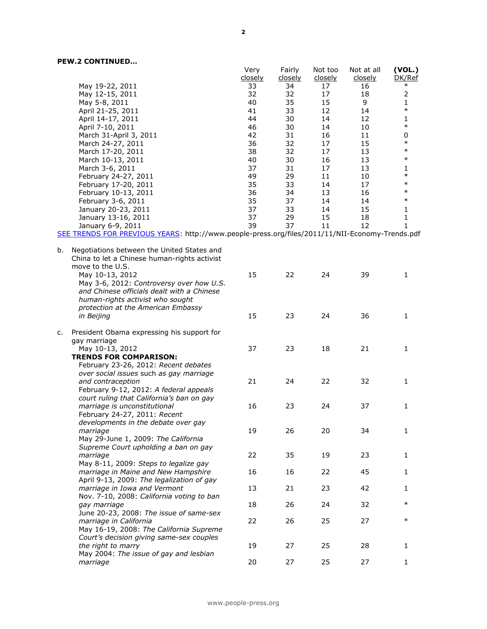|    |                                                                                                                                                                                                                   | Very<br><u>closely</u> | Fairly<br><u>closely</u> | Not too<br>closely | Not at all<br>closely | (VOL.)<br>DK/Ref |
|----|-------------------------------------------------------------------------------------------------------------------------------------------------------------------------------------------------------------------|------------------------|--------------------------|--------------------|-----------------------|------------------|
|    | May 19-22, 2011                                                                                                                                                                                                   | 33                     | 34                       | 17                 | 16                    | $\ast$           |
|    | May 12-15, 2011                                                                                                                                                                                                   | 32                     | 32                       | 17                 | 18                    | $\overline{2}$   |
|    | May 5-8, 2011                                                                                                                                                                                                     | 40                     | 35                       | 15                 | 9                     | 1                |
|    | April 21-25, 2011                                                                                                                                                                                                 | 41                     | 33                       | 12                 | 14                    | $\ast$           |
|    | April 14-17, 2011                                                                                                                                                                                                 | 44                     | 30                       | 14                 | 12                    | 1                |
|    | April 7-10, 2011                                                                                                                                                                                                  | 46                     | 30                       | 14                 | 10                    | $\ast$           |
|    | March 31-April 3, 2011                                                                                                                                                                                            | 42                     | 31                       | 16                 | 11                    | 0                |
|    | March 24-27, 2011                                                                                                                                                                                                 | 36                     | 32                       | 17                 | 15                    | $\ast$           |
|    | March 17-20, 2011                                                                                                                                                                                                 | 38                     | 32                       | 17                 | 13                    | $\ast$           |
|    | March 10-13, 2011                                                                                                                                                                                                 | 40                     | 30                       | 16                 | 13                    | $\ast$           |
|    | March 3-6, 2011                                                                                                                                                                                                   | 37                     | 31                       | 17                 | 13                    | 1                |
|    | February 24-27, 2011                                                                                                                                                                                              | 49                     | 29                       | 11                 | 10                    | $\ast$           |
|    | February 17-20, 2011                                                                                                                                                                                              | 35                     | 33                       | 14                 | 17                    | $\ast$           |
|    | February 10-13, 2011                                                                                                                                                                                              | 36                     | 34                       | 13                 | 16                    | $\ast$           |
|    | February 3-6, 2011                                                                                                                                                                                                | 35                     | 37                       | 14                 | 14                    | $\ast$           |
|    | January 20-23, 2011                                                                                                                                                                                               | 37                     | 33                       | 14                 | 15                    | 1                |
|    | January 13-16, 2011                                                                                                                                                                                               | 37                     | 29                       | 15                 | 18                    | 1                |
|    | January 6-9, 2011                                                                                                                                                                                                 | 39                     | 37                       | 11                 | 12                    | 1                |
| b. | SEE TRENDS FOR PREVIOUS YEARS: http://www.people-press.org/files/2011/11/NII-Economy-Trends.pdf<br>Negotiations between the United States and                                                                     |                        |                          |                    |                       |                  |
|    | China to let a Chinese human-rights activist<br>move to the U.S.<br>May 10-13, 2012<br>May 3-6, 2012: Controversy over how U.S.<br>and Chinese officials dealt with a Chinese<br>human-rights activist who sought | 15                     | 22                       | 24                 | 39                    | $\mathbf{1}$     |
|    | protection at the American Embassy<br>in Beijing                                                                                                                                                                  | 15                     | 23                       | 24                 | 36                    | 1                |
| c. | President Obama expressing his support for<br>gay marriage<br>May 10-13, 2012<br><b>TRENDS FOR COMPARISON:</b>                                                                                                    | 37                     | 23                       | 18                 | 21                    | 1                |
|    | February 23-26, 2012: Recent debates<br>over social issues such as gay marriage<br>and contraception<br>February 9-12, 2012: A federal appeals<br>court ruling that California's ban on gay                       | 21                     | 24                       | 22                 | 32                    | 1                |
|    | marriage is unconstitutional<br>February 24-27, 2011: Recent                                                                                                                                                      | 16                     | 23                       | 24                 | 37                    | 1                |
|    | developments in the debate over gay<br>marriage<br>May 29-June 1, 2009: The California<br>Supreme Court upholding a ban on gay                                                                                    | 19                     | 26                       | 20                 | 34                    | 1                |
|    | marriage<br>May 8-11, 2009: Steps to legalize gay                                                                                                                                                                 | 22                     | 35                       | 19                 | 23                    | $\mathbf{1}$     |
|    | marriage in Maine and New Hampshire<br>April 9-13, 2009: The legalization of gay                                                                                                                                  | 16                     | 16                       | 22                 | 45                    | $\mathbf{1}$     |
|    | marriage in Iowa and Vermont<br>Nov. 7-10, 2008: California voting to ban                                                                                                                                         | 13                     | 21                       | 23                 | 42                    | 1                |
|    | gay marriage<br>June 20-23, 2008: The issue of same-sex                                                                                                                                                           | 18                     | 26                       | 24                 | 32                    | $\ast$           |
|    | marriage in California<br>May 16-19, 2008: The California Supreme<br>Court's decision giving same-sex couples                                                                                                     | 22                     | 26                       | 25                 | 27                    | $\ast$           |
|    | the right to marry<br>May 2004: The issue of gay and lesbian                                                                                                                                                      | 19                     | 27                       | 25                 | 28                    | 1                |
|    | marriage                                                                                                                                                                                                          | 20                     | 27                       | 25                 | 27                    | $\mathbf{1}$     |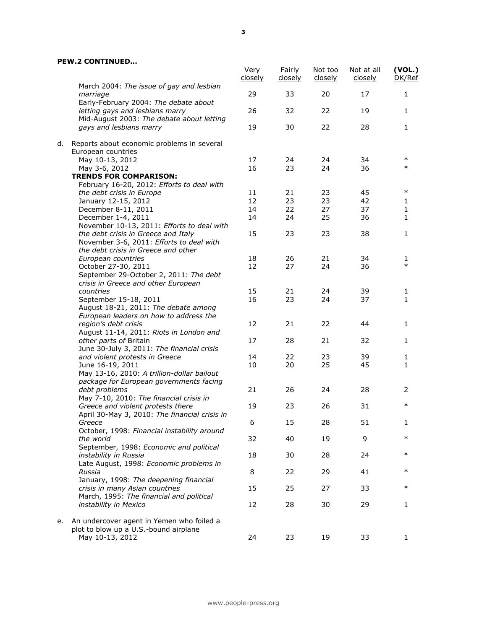|    |                                                                                               | Very<br>closely | Fairly<br><u>closely</u> | Not too<br><u>closely</u> | Not at all<br>closely | (VOL.)<br>DK/Ref |
|----|-----------------------------------------------------------------------------------------------|-----------------|--------------------------|---------------------------|-----------------------|------------------|
|    | March 2004: The issue of gay and lesbian<br>marriage<br>Early-February 2004: The debate about | 29              | 33                       | 20                        | 17                    | 1                |
|    | letting gays and lesbians marry<br>Mid-August 2003: The debate about letting                  | 26              | 32                       | 22                        | 19                    | 1                |
|    | gays and lesbians marry                                                                       | 19              | 30                       | 22                        | 28                    | 1                |
| d. | Reports about economic problems in several<br>European countries                              |                 |                          |                           |                       |                  |
|    | May 10-13, 2012                                                                               | 17              | 24                       | 24                        | 34                    | $\ast$           |
|    | May 3-6, 2012                                                                                 | 16              | 23                       | 24                        | 36                    | $\ast$           |
|    | <b>TRENDS FOR COMPARISON:</b>                                                                 |                 |                          |                           |                       |                  |
|    | February 16-20, 2012: Efforts to deal with                                                    |                 |                          |                           |                       |                  |
|    | the debt crisis in Europe                                                                     | 11              | 21                       | 23                        | 45                    | $\ast$           |
|    | January 12-15, 2012                                                                           | 12              | 23                       | 23                        | 42                    | 1                |
|    | December 8-11, 2011                                                                           | 14              | 22                       | 27                        | 37                    | 1                |
|    | December 1-4, 2011                                                                            | 14              | 24                       | 25                        | 36                    | 1                |
|    | November 10-13, 2011: Efforts to deal with                                                    |                 |                          |                           |                       |                  |
|    | the debt crisis in Greece and Italy<br>November 3-6, 2011: Efforts to deal with               | 15              | 23                       | 23                        | 38                    | 1                |
|    | the debt crisis in Greece and other                                                           |                 |                          |                           |                       |                  |
|    | European countries                                                                            | 18              | 26                       | 21                        | 34                    | 1<br>$\ast$      |
|    | October 27-30, 2011                                                                           | 12              | 27                       | 24                        | 36                    |                  |
|    | September 29-October 2, 2011: The debt                                                        |                 |                          |                           |                       |                  |
|    | crisis in Greece and other European                                                           |                 |                          |                           |                       |                  |
|    | countries                                                                                     | 15              | 21                       | 24                        | 39                    | 1                |
|    | September 15-18, 2011                                                                         | 16              | 23                       | 24                        | 37                    | 1                |
|    | August 18-21, 2011: The debate among                                                          |                 |                          |                           |                       |                  |
|    | European leaders on how to address the                                                        |                 |                          |                           |                       |                  |
|    | region's debt crisis                                                                          | 12              | 21                       | 22                        | 44                    | 1                |
|    | August 11-14, 2011: Riots in London and                                                       |                 |                          |                           |                       |                  |
|    | other parts of Britain                                                                        | 17              | 28                       | 21                        | 32                    | 1                |
|    | June 30-July 3, 2011: The financial crisis                                                    |                 |                          |                           |                       |                  |
|    | and violent protests in Greece                                                                | 14              | 22                       | 23                        | 39                    | 1                |
|    | June 16-19, 2011                                                                              | 10              | 20                       | 25                        | 45                    | 1                |
|    | May 13-16, 2010: A trillion-dollar bailout                                                    |                 |                          |                           |                       |                  |
|    | package for European governments facing                                                       |                 |                          |                           |                       |                  |
|    | debt problems                                                                                 | 21              | 26                       | 24                        | 28                    | 2                |
|    | May 7-10, 2010: The financial crisis in                                                       |                 |                          |                           |                       | $\ast$           |
|    | Greece and violent protests there                                                             | 19              | 23                       | 26                        | 31                    |                  |
|    | April 30-May 3, 2010: The financial crisis in                                                 |                 |                          |                           |                       |                  |
|    | Greece                                                                                        | 6               | 15                       | 28                        | 51                    | 1.               |
|    | October, 1998: Financial instability around                                                   |                 |                          |                           |                       | $\ast$           |
|    | the world                                                                                     | 32              | 40                       | 19                        | 9                     |                  |
|    | September, 1998: Economic and political                                                       |                 |                          |                           |                       |                  |
|    | instability in Russia                                                                         | 18              | 30                       | 28                        | 24                    | $\ast$           |
|    | Late August, 1998: Economic problems in                                                       |                 |                          |                           |                       |                  |
|    | Russia                                                                                        | 8               | 22                       | 29                        | 41                    | $\ast$           |
|    | January, 1998: The deepening financial                                                        |                 |                          |                           |                       |                  |
|    | crisis in many Asian countries                                                                | 15              | 25                       | 27                        | 33                    | $\ast$           |
|    | March, 1995: The financial and political                                                      |                 |                          |                           |                       |                  |
|    | instability in Mexico                                                                         | 12              | 28                       | 30                        | 29                    | 1                |
|    |                                                                                               |                 |                          |                           |                       |                  |
| е. | An undercover agent in Yemen who foiled a                                                     |                 |                          |                           |                       |                  |
|    | plot to blow up a U.S.-bound airplane                                                         |                 |                          |                           |                       |                  |
|    | May 10-13, 2012                                                                               | 24              | 23                       | 19                        | 33                    | 1                |
|    |                                                                                               |                 |                          |                           |                       |                  |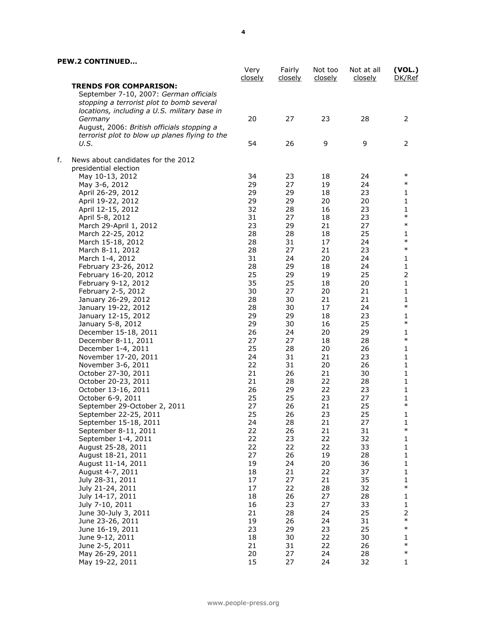|    |                                                                                                                      | Very<br><u>closely</u> | Fairly<br><u>closely</u> | Not too<br><u>closely</u> | Not at all<br><u>closely</u> | (VOL.)<br>DK/Ref        |
|----|----------------------------------------------------------------------------------------------------------------------|------------------------|--------------------------|---------------------------|------------------------------|-------------------------|
|    | <b>TRENDS FOR COMPARISON:</b><br>September 7-10, 2007: German officials<br>stopping a terrorist plot to bomb several |                        |                          |                           |                              |                         |
|    | locations, including a U.S. military base in                                                                         |                        |                          |                           |                              |                         |
|    | Germany<br>August, 2006: British officials stopping a                                                                | 20                     | 27                       | 23                        | 28                           | 2                       |
|    | terrorist plot to blow up planes flying to the<br>U.S.                                                               | 54                     | 26                       | 9                         | 9                            | $\overline{2}$          |
| f. | News about candidates for the 2012                                                                                   |                        |                          |                           |                              |                         |
|    | presidential election<br>May 10-13, 2012                                                                             | 34                     | 23                       | 18                        | 24                           | $\ast$                  |
|    | May 3-6, 2012                                                                                                        | 29                     | 27                       | 19                        | 24                           | $\ast$                  |
|    | April 26-29, 2012                                                                                                    | 29                     | 29                       | 18                        | 23                           | 1                       |
|    | April 19-22, 2012                                                                                                    | 29                     | 29                       | 20                        | 20                           | $\mathbf 1$             |
|    | April 12-15, 2012                                                                                                    | 32                     | 28                       | 16                        | 23                           | 1                       |
|    | April 5-8, 2012                                                                                                      | 31                     | 27                       | 18                        | 23                           | $\ast$                  |
|    | March 29-April 1, 2012                                                                                               | 23                     | 29                       | 21                        | 27                           | $\ast$                  |
|    | March 22-25, 2012                                                                                                    | 28                     | 28                       | 18                        | 25                           | $\mathbf{1}$            |
|    | March 15-18, 2012                                                                                                    | 28                     | 31                       | 17                        | 24                           | $\ast$                  |
|    | March 8-11, 2012                                                                                                     | 28                     | 27                       | 21                        | 23                           | $\ast$                  |
|    | March 1-4, 2012                                                                                                      | 31                     | 24                       | 20                        | 24                           | $\mathbf{1}$            |
|    | February 23-26, 2012                                                                                                 | 28                     | 29                       | 18                        | 24                           | $\mathbf 1$             |
|    | February 16-20, 2012                                                                                                 | 25                     | 29                       | 19                        | 25                           | $\overline{2}$          |
|    | February 9-12, 2012                                                                                                  | 35                     | 25                       | 18                        | 20                           | $\mathbf 1$             |
|    | February 2-5, 2012                                                                                                   | 30                     | 27                       | 20                        | 21                           | $\mathbf 1$             |
|    | January 26-29, 2012                                                                                                  | 28                     | 30                       | 21                        | 21                           | $\mathbf 1$             |
|    | January 19-22, 2012                                                                                                  | 28                     | 30                       | 17                        | 24                           | $\ast$                  |
|    | January 12-15, 2012                                                                                                  | 29                     | 29                       | 18                        | 23                           | $\mathbf 1$             |
|    | January 5-8, 2012                                                                                                    | 29                     | 30                       | 16                        | 25                           | $\ast$                  |
|    | December 15-18, 2011                                                                                                 | 26                     | 24                       | 20                        | 29                           | 1                       |
|    | December 8-11, 2011                                                                                                  | 27                     | 27                       | 18                        | 28                           | $\ast$                  |
|    | December 1-4, 2011                                                                                                   | 25                     | 28                       | 20                        | 26                           | $\mathbf{1}$            |
|    | November 17-20, 2011                                                                                                 | 24                     | 31                       | 21                        | 23                           | $\mathbf 1$             |
|    | November 3-6, 2011                                                                                                   | 22                     | 31                       | 20                        | 26                           | 1                       |
|    | October 27-30, 2011                                                                                                  | 21                     | 26                       | 21                        | 30                           | $\mathbf 1$             |
|    | October 20-23, 2011                                                                                                  | 21                     | 28                       | 22                        | 28                           | $\mathbf 1$             |
|    | October 13-16, 2011                                                                                                  | 26                     | 29                       | 22                        | 23                           | $\mathbf{1}$            |
|    | October 6-9, 2011                                                                                                    | 25                     | 25                       | 23                        | 27                           | 1                       |
|    | September 29-October 2, 2011                                                                                         | 27                     | 26                       | 21                        | 25                           | $\ast$                  |
|    | September 22-25, 2011                                                                                                | 25                     | 26                       | 23                        | 25                           | $\mathbf 1$             |
|    | September 15-18, 2011                                                                                                | 24                     | 28                       | 21                        | 27                           | 1                       |
|    | September 8-11, 2011                                                                                                 | 22                     | 26                       | 21                        | 31                           | $\ast$                  |
|    | September 1-4, 2011                                                                                                  | 22                     | 23                       | 22                        | 32                           | 1                       |
|    | August 25-28, 2011                                                                                                   | 22                     | 22                       | 22                        | 33                           | $\mathbf{1}$            |
|    | August 18-21, 2011                                                                                                   | 27                     | 26                       | 19                        | 28                           | $\mathbf{1}$            |
|    | August 11-14, 2011                                                                                                   | 19                     | 24                       | 20                        | 36                           | $\mathbf{1}$            |
|    | August 4-7, 2011                                                                                                     | 18                     | 21                       | 22                        | 37                           | 1                       |
|    | July 28-31, 2011                                                                                                     | 17                     | 27                       | 21                        | 35                           | 1                       |
|    | July 21-24, 2011                                                                                                     | 17                     | 22                       | 28                        | 32                           | $\ast$                  |
|    | July 14-17, 2011                                                                                                     | 18                     | 26                       | 27                        | 28                           | $\mathbf{1}$            |
|    | July 7-10, 2011                                                                                                      | 16                     | 23                       | 27                        | 33                           | $\mathbf{1}$            |
|    | June 30-July 3, 2011                                                                                                 | 21                     | 28                       | 24                        | 25                           | $\overline{\mathbf{c}}$ |
|    | June 23-26, 2011                                                                                                     | 19                     | 26                       | 24                        | 31                           | $\ast$                  |
|    | June 16-19, 2011                                                                                                     | 23                     | 29                       | 23                        | 25                           | $\ast$                  |
|    | June 9-12, 2011                                                                                                      | 18                     | 30                       | 22                        | 30                           | 1                       |
|    | June 2-5, 2011                                                                                                       | 21                     | 31                       | 22                        | 26                           | $\ast$                  |
|    | May 26-29, 2011                                                                                                      | 20                     | 27                       | 24                        | 28                           | $\ast$                  |
|    | May 19-22, 2011                                                                                                      | 15                     | 27                       | 24                        | 32                           | 1                       |
|    |                                                                                                                      |                        |                          |                           |                              |                         |